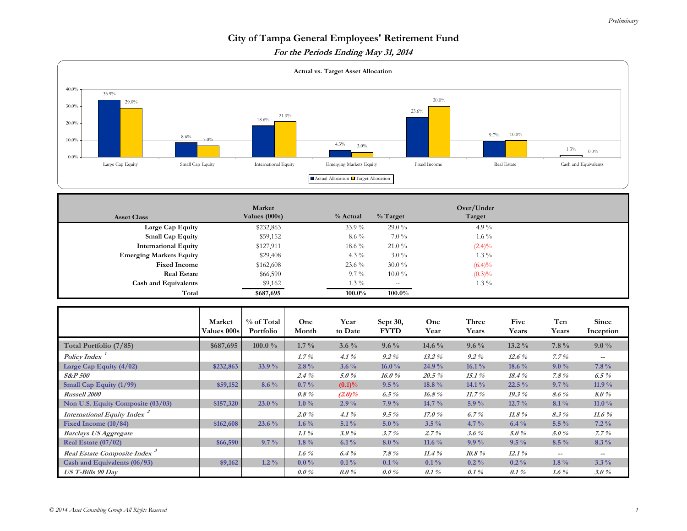## *Preliminary*

## **City of Tampa General Employees' Retirement Fund For the Periods Ending May 31, 2014**



| <b>Asset Class</b>             | Market<br>Values (000s) | % Actual  | $%$ Target | Over/Under<br>Target |  |
|--------------------------------|-------------------------|-----------|------------|----------------------|--|
| Large Cap Equity               | \$232,863               | $33.9\%$  | $29.0\%$   | 4.9 $\%$             |  |
| <b>Small Cap Equity</b>        | \$59,152                | $8.6\%$   | $7.0\%$    | $1.6\%$              |  |
| <b>International Equity</b>    | \$127,911               | $18.6\%$  | $21.0\%$   | $(2.4)\%$            |  |
| <b>Emerging Markets Equity</b> | \$29,408                | 4.3 $\%$  | $3.0\%$    | $1.3\%$              |  |
| <b>Fixed Income</b>            | \$162,608               | $23.6\%$  | $30.0\%$   | $(6.4)\%$            |  |
| <b>Real Estate</b>             | \$66,590                | $9.7\%$   | $10.0\%$   | $(0.3)\%$            |  |
| <b>Cash and Equivalents</b>    | \$9,162                 | $1.3\%$   | $-\,-$     | $1.3\%$              |  |
| Total                          | \$687,695               | $100.0\%$ | 100.0%     |                      |  |

|                                          | Market<br><b>Values 000s</b> | % of Total<br>Portfolio | One<br>Month | Year<br>to Date | Sept 30,<br><b>FYTD</b> | One<br>Year | Three<br>Years | Five<br>Years | Ten<br>Years | Since<br>Inception |
|------------------------------------------|------------------------------|-------------------------|--------------|-----------------|-------------------------|-------------|----------------|---------------|--------------|--------------------|
| Total Portfolio (7/85)                   | \$687,695                    | 100.0 $\%$              | $1.7\%$      | $3.6\%$         | $9.6\%$                 | 14.6 $\%$   | $9.6\%$        | $13.2\%$      | $7.8\%$      | $9.0\%$            |
| <b>Policy Index</b>                      |                              |                         | $1.7\%$      | $4.1\%$         | $9.2\%$                 | $13.2\%$    | $9.2\%$        | $12.6\%$      | 7.7%         | $--$               |
| Large Cap Equity $(4/02)$                | \$232,863                    | 33.9 %                  | $2.8\%$      | $3.6\%$         | 16.0%                   | 24.9 %      | 16.1%          | $18.6\%$      | $9.0\%$      | $7.8\%$            |
| <b>S&amp;P 500</b>                       |                              |                         | $2.4\%$      | $5.0\%$         | 16.0%                   | $20.5\%$    | 15.1%          | 18.4%         | $7.8\%$      | 6.5 $\%$           |
| Small Cap Equity (1/99)                  | \$59,152                     | $8.6\%$                 | $0.7\%$      | $(0.1)\%$       | $9.5\%$                 | 18.8 %      | 14.1%          | $22.5\%$      | $9.7\%$      | 11.9%              |
| <b>Russell 2000</b>                      |                              |                         | $0.8\%$      | $(2.0)\%$       | 6.5 $%$                 | $16.8\%$    | 11.7%          | 19.3%         | $8.6\%$      | 8.0%               |
| Non U.S. Equity Composite (03/03)        | \$157,320                    | 23.0%                   | $1.0\%$      | $2.9\%$         | $7.9\%$                 | 14.7 %      | $5.9\%$        | $12.7\%$      | $8.1\%$      | 11.0 $\%$          |
| International Equity Index <sup>2</sup>  |                              |                         | $2.0\%$      | $4.1\%$         | $9.5\%$                 | 17.0%       | 6.7%           | $11.8\%$      | $8.3\%$      | 11.6 $%$           |
| Fixed Income (10/84)                     | \$162,608                    | 23.6 %                  | $1.6\%$      | $5.1\%$         | $5.0\%$                 | $3.5\%$     | $4.7\%$        | $6.4\%$       | $5.5\%$      | $7.2\%$            |
| <b>Barclays US Aggregate</b>             |                              |                         | $1.1\%$      | 3.9%            | 3.7%                    | $2.7\%$     | $3.6\%$        | 5.0%          | 5.0%         | $7.7\%$            |
| Real Estate $(07/02)$                    | \$66,590                     | $9.7\%$                 | $1.8\%$      | $6.1\%$         | $8.0\%$                 | 11.6 $\%$   | $9.9\%$        | $9.5\%$       | $8.5\%$      | $8.3\%$            |
| Real Estate Composite Index <sup>3</sup> |                              |                         | 1.6 $%$      | $6.4\%$         | $7.8\%$                 | 11.4%       | $10.8\%$       | 12.1%         | $--$         | $--$               |
| Cash and Equivalents (06/93)             | \$9,162                      | $1.2\%$                 | $0.0\%$      | $0.1\%$         | $0.1\%$                 | $0.1\%$     | $0.2\%$        | $0.2\%$       | $1.8\%$      | $3.3\%$            |
| <b>US T-Bills 90 Day</b>                 |                              |                         | $0.0\%$      | $0.0\%$         | $0.0\%$                 | $0.1\%$     | $0.1\%$        | $0.1\%$       | 1.6 $%$      | $3.0\%$            |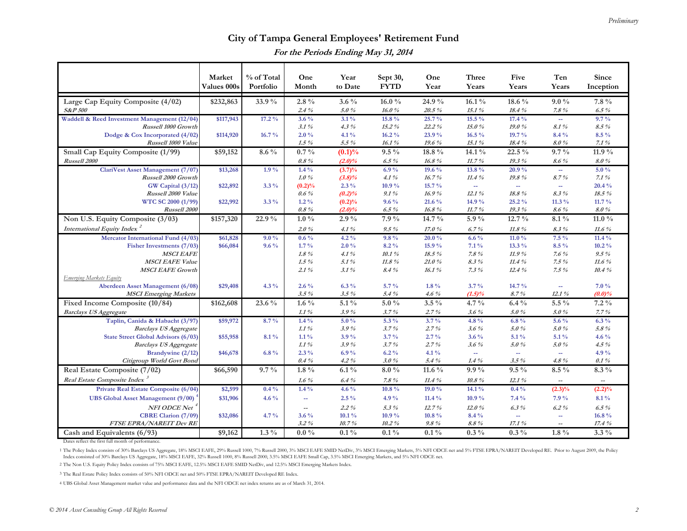## **City of Tampa General Employees' Retirement Fund For the Periods Ending May 31, 2014**

|                                                         | Market<br>Values 000s | % of Total<br>Portfolio | One<br>Month                        | Year<br>to Date      | Sept 30,<br><b>FYTD</b> | One<br>Year        | Three<br>Years    | Five<br>Years            | Ten<br>Years             | Since<br>Inception       |
|---------------------------------------------------------|-----------------------|-------------------------|-------------------------------------|----------------------|-------------------------|--------------------|-------------------|--------------------------|--------------------------|--------------------------|
| Large Cap Equity Composite (4/02)<br><b>S&amp;P 500</b> | \$232,863             | 33.9%                   | $2.8\%$<br>$2.4\%$                  | $3.6\%$<br>5.0%      | $16.0\%$<br>16.0%       | 24.9%<br>$20.5\%$  | $16.1\%$<br>15.1% | 18.6 %<br>18.4%          | $9.0\%$<br>$7.8 \%$      | 7.8 %<br>$6.5\%$         |
| Waddell & Reed Investment Management (12/04)            | \$117,943             | 17.2%                   | $3.6\%$                             | $3.1\%$              | 15.8 %                  | $25.7\%$           | 15.5 %            | 17.4%                    | $\omega_{\rm m}$         | $9.7\%$                  |
| Russell 1000 Growth                                     |                       |                         | $3.1\,\%$                           | $4.3\%$              | 15.2%                   | 22.2%              | 15.0%             | 19.0%                    | 8.1%                     | $8.5\%$                  |
| Dodge & Cox Incorporated $(4/02)$                       | \$114,920             | 16.7%                   | $2.0\%$                             | $4.1\%$              | $16.2\%$                | 23.9%              | $16.5\%$          | 19.7 %                   | 8.4 %                    | $8.5\%$                  |
| Russell 1000 Value                                      |                       |                         | $1.5\%$                             | $5.5\%$              | 16.1%                   | 19.6%              | 15.1%             | 18.4%                    | 8.0%                     | 7.1%                     |
| Small Cap Equity Composite (1/99)                       | \$59,152              | $8.6\%$                 | $0.7\%$                             | (0.1)%               | $9.5\%$                 | $18.8\%$           | $14.1\%$          | 22.5 %                   | $9.7\%$                  | 11.9 %                   |
| Russell 2000                                            |                       |                         | $0.8 \%$                            | $(2.0)\%$            | $6.5\%$                 | 16.8%              | 11.7%             | $19.3\%$                 | $8.6\%$                  | 8.0%                     |
| ClariVest Asset Management (7/07)                       | \$13,268              | $1.9\%$                 | $1.4\%$                             | $(3.7)\%$            | $6.9\%$                 | 19.6 $\%$          | 13.8 %            | $20.9\%$                 | $\omega_{\rm m}$         | $5.0\%$                  |
| Russell 2000 Growth                                     | \$22,892              | $3.3\%$                 | $1.0\%$                             | $(3.8)\%$<br>$2.3\%$ | $4.1\%$<br>10.9%        | 16.7%<br>$15.7\%$  | $11.4~\%$<br>ш.   | 19.8%<br>÷.              | 8.7%<br>÷.               | 7.1%<br>20.4 %           |
| GW Capital (3/12)<br>Russell 2000 Value                 |                       |                         | $(0.2)\%$<br>$0.6\%$                | (0.2)%               | $9.1\%$                 | 16.9%              | 12.1%             | 18.8%                    | $8.3\%$                  | 18.5 %                   |
| WTC SC 2000 (1/99)                                      | \$22,992              | $3.3\%$                 | $1.2\%$                             | (0.2)%               | $9.6\%$                 | 21.6 %             | 14.9 %            | 25.2%                    | 11.3 $%$                 | $11.7\%$                 |
| Russell 2000                                            |                       |                         | $0.8\%$                             | $(2.0)\%$            | 6.5%                    | 16.8%              | 11.7%             | 19.3%                    | 8.6%                     | 8.0%                     |
| Non U.S. Equity Composite (3/03)                        | \$157,320             | 22.9%                   | $1.0\,\%$                           | $2.9\%$              | 7.9%                    | 14.7 %             | 5.9%              | 12.7 %                   | $8.1\,\%$                | 11.0 $\%$                |
| International Equity Index <sup>2</sup>                 |                       |                         | $2.0\%$                             | 4.1%                 | $9.5\%$                 | 17.0%              | 6.7%              | 11.8%                    | $8.3\%$                  | $11.6\%$                 |
| Mercator International Fund (4/03)                      | \$61,828              | $9.0\%$                 | $0.6\%$                             | $4.2\%$              | $9.8\%$                 | 20.0%              | $6.6\%$           | 11.0 $\%$                | $7.5\%$                  | 11.4 $\%$                |
| Fisher Investments (7/03)                               | \$66,084              | $9.6\%$                 | $1.7\%$                             | $2.0\%$              | $8.2\%$                 | 15.9%              | $7.1\%$           | $13.3\%$                 | $8.5\%$                  | $10.2\%$                 |
| <b>MSCI EAFE</b>                                        |                       |                         | $1.8\%$                             | 4.1%                 | 10.1%                   | 18.5 %             | 7.8%              | 11.9%                    | $7.6\%$                  | $9.5\%$                  |
| <b>MSCI EAFE Value</b>                                  |                       |                         | $1.5\%$                             | 5.1%                 | 11.8%                   | 21.0%              | $8.3\%$           | 11.4%                    | $7.5\%$                  | 11.6%                    |
| <b>MSCI EAFE Growth</b>                                 |                       |                         | $2.1\%$                             | 3.1%                 | 8.4%                    | 16.1%              | 7.3%              | 12.4%                    | $7.5\%$                  | 10.4%                    |
| <b>Emerging Markets Equity</b>                          |                       |                         |                                     |                      |                         |                    |                   |                          |                          |                          |
| Aberdeen Asset Management (6/08)                        | \$29,408              | $4.3\%$                 | $2.6\%$                             | $6.3\%$              | $5.7\%$                 | $1.8\%$            | $3.7\%$           | 14.7 %                   | ш.                       | 7.0%                     |
| <b>MSCI</b> Emerging Markets                            |                       |                         | $3.5\%$                             | $3.5 \%$             | 5.4%                    | $4.6\%$            | (1.5)%            | 8.7%                     | 12.1%                    | $(0.0)\%$                |
| Fixed Income Composite (10/84)                          | \$162,608             | 23.6 %                  | 1.6 $\%$                            | $5.1\,\%$            | $5.0\,\%$               | $3.5\%$            | $4.7\%$           | $6.4\%$                  | $5.5~\%$                 | $7.2\%$                  |
| <b>Barclays US Aggregate</b>                            |                       |                         | $1.1\%$                             | 3.9%                 | 3.7%                    | 2.7%               | $3.6\%$           | 5.0%                     | 5.0%                     | 7.7%                     |
| Taplin, Canida & Habacht (3/97)                         | \$59,972              | $8.7\%$                 | $1.4\%$                             | $5.0\%$              | $5.3\%$                 | $3.7\%$            | 4.8%              | $6.8\%$                  | $5.6\%$                  | $6.3\%$                  |
| <b>Barclays US Aggregate</b>                            |                       |                         | $1.1\%$                             | 3.9%                 | 3.7%                    | 2.7%               | $3.6\%$           | $5.0~\%$                 | 5.0%                     | 5.8%                     |
| <b>State Street Global Advisors (6/03)</b>              | \$55,958              | 8.1%                    | $1.1\%$                             | 3.9%                 | $3.7\%$                 | $2.7\%$            | $3.6\%$           | $5.1\%$                  | 5.1%                     | 4.6 $\%$                 |
| <b>Barclays US Aggregate</b>                            |                       | $6.8\%$                 | $1.1\%$<br>$2.3\%$                  | 3.9%<br>6.9%         | 3.7%<br>$6.2\%$         | 2.7%<br>$4.1\%$    | $3.6\%$<br>ш.     | 5.0%                     | 5.0%                     | $4.5\%$<br>4.9%          |
| Brandywine $(2/12)$<br>Citigroup World Govt Bond        | \$46,678              |                         | $0.4\%$                             | $4.2\%$              | 3.0%                    | 5.4%               | 1.4%              | $\rightarrow$<br>$3.5\%$ | ω.<br>$4.8\%$            | 0.1%                     |
| Real Estate Composite (7/02)                            | \$66,590              | $9.7\%$                 | $1.8\%$                             | $6.1\,\%$            | $8.0\%$                 | 11.6 $\%$          | $9.9\%$           | $9.5\%$                  | $8.5\%$                  | $8.3\%$                  |
| Real Estate Composite Index                             |                       |                         | $1.6\%$                             | 6.4%                 | $7.8\%$                 | 11.4%              | $10.8 \%$         | 12.1%                    | $\overline{\phantom{a}}$ | $\overline{\phantom{a}}$ |
| Private Real Estate Composite (6/04)                    | \$2,599               | $0.4\%$                 | $1.4\%$                             | 4.6 $%$              | 10.8 %                  | $19.0\%$           | $14.1\%$          | $0.4\%$                  | $(2.3)\%$                | (2.2)%                   |
| <b>UBS Global Asset Management (9/00)</b>               | \$31,906              | 4.6 $\frac{9}{6}$       | $\rightarrow$                       | $2.5\%$              | 4.9 $%$                 | 11.4 $\%$          | 10.9%             | 7.4%                     | 7.9%                     | 8.1%                     |
|                                                         |                       |                         |                                     |                      |                         |                    |                   |                          |                          |                          |
| NFI ODCE Net<br><b>CBRE Clarion (7/09)</b>              |                       | $4.7\%$                 | $\overline{\phantom{a}}$<br>$3.6\%$ | $2.2\%$<br>$10.1\%$  | $5.3\%$<br>10.9%        | 12.7%<br>$10.8 \%$ | 12.0%<br>8.4 %    | 6.3%<br>÷.               | $6.2\%$                  | $6.5\%$<br>16.8%         |
| <b>FTSE EPRA/NAREIT Dev RE</b>                          | \$32,086              |                         | $3.2\%$                             | 10.7%                | $10.2\%$                | $9.8\%$            | $8.8\%$           | 17.1%                    | 44<br>Ξ.                 | 17.4%                    |
| Cash and Equivalents (6/93)                             | \$9,162               | $1.3\%$                 | $0.0\%$                             | $0.1\%$              | $0.1\%$                 | $0.1\%$            | $0.3\%$           | $0.3\%$                  | $1.8~\%$                 | $3.3\%$                  |
|                                                         |                       |                         |                                     |                      |                         |                    |                   |                          |                          |                          |

Dates reflect the first full month of performance.

1 The Policy Index consists of 30% Barclays US Aggregate, 18% MSCI EAFE, 29% Russell 1000, 7% Russell 2000, 3% MSCI EAFE SMID NetDiv, 3% MSCI Emerging Markets, 5% NFI ODCE net and 5% FTSE EPRA/NAREIT Developed RE. Prior to Index consisted of 30% Barclays US Aggregate, 18% MSCI EAFE, 32% Russell 1000, 8% Russell 2000, 3.5% MSCI EAFE Small Cap, 3.5% MSCI Emerging Markets, and 5% NFI ODCE net.

2 The Non U.S. Equity Policy Index consists of 75% MSCI EAFE, 12.5% MSCI EAFE SMID NetDiv, and 12.5% MSCI Emerging Markets Index.

3 The Real Estate Policy Index consists of 50% NFI ODCE net and 50% FTSE EPRA/NAREIT Developed RE Index.

4 UBS Global Asset Management market value and performance data and the NFI ODCE net index returns are as of March 31, 2014.